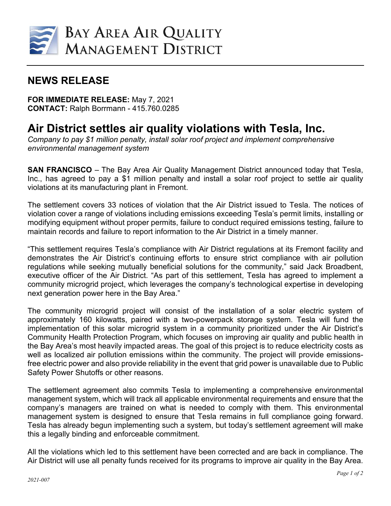

## **NEWS RELEASE**

**FOR IMMEDIATE RELEASE:** May 7, 2021 **CONTACT:** Ralph Borrmann - 415.760.0285

## **Air District settles air quality violations with Tesla, Inc.**

*Company to pay \$1 million penalty, install solar roof project and implement comprehensive environmental management system*

**SAN FRANCISCO** – The Bay Area Air Quality Management District announced today that Tesla, Inc., has agreed to pay a \$1 million penalty and install a solar roof project to settle air quality violations at its manufacturing plant in Fremont.

The settlement covers 33 notices of violation that the Air District issued to Tesla. The notices of violation cover a range of violations including emissions exceeding Tesla's permit limits, installing or modifying equipment without proper permits, failure to conduct required emissions testing, failure to maintain records and failure to report information to the Air District in a timely manner.

"This settlement requires Tesla's compliance with Air District regulations at its Fremont facility and demonstrates the Air District's continuing efforts to ensure strict compliance with air pollution regulations while seeking mutually beneficial solutions for the community," said Jack Broadbent, executive officer of the Air District. "As part of this settlement, Tesla has agreed to implement a community microgrid project, which leverages the company's technological expertise in developing next generation power here in the Bay Area."

The community microgrid project will consist of the installation of a solar electric system of approximately 160 kilowatts, paired with a two-powerpack storage system. Tesla will fund the implementation of this solar microgrid system in a community prioritized under the Air District's Community Health Protection Program, which focuses on improving air quality and public health in the Bay Area's most heavily impacted areas. The goal of this project is to reduce electricity costs as well as localized air pollution emissions within the community. The project will provide emissionsfree electric power and also provide reliability in the event that grid power is unavailable due to Public Safety Power Shutoffs or other reasons.

The settlement agreement also commits Tesla to implementing a comprehensive environmental management system, which will track all applicable environmental requirements and ensure that the company's managers are trained on what is needed to comply with them. This environmental management system is designed to ensure that Tesla remains in full compliance going forward. Tesla has already begun implementing such a system, but today's settlement agreement will make this a legally binding and enforceable commitment.

All the violations which led to this settlement have been corrected and are back in compliance. The Air District will use all penalty funds received for its programs to improve air quality in the Bay Area.